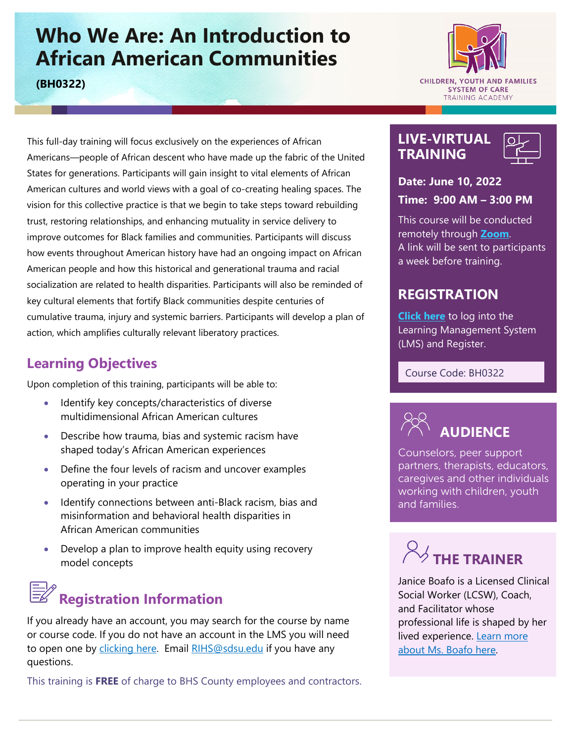# **Who We Are: An Introduction to African American Communities**



**(BH0322)**

This full-day training will focus exclusively on the experiences of African Americans—people of African descent who have made up the fabric of the United States for generations. Participants will gain insight to vital elements of African American cultures and world views with a goal of co-creating healing spaces. The vision for this collective practice is that we begin to take steps toward rebuilding trust, restoring relationships, and enhancing mutuality in service delivery to improve outcomes for Black families and communities. Participants will discuss how events throughout American history have had an ongoing impact on African American people and how this historical and generational trauma and racial socialization are related to health disparities. Participants will also be reminded of key cultural elements that fortify Black communities despite centuries of cumulative trauma, injury and systemic barriers. Participants will develop a plan of action, which amplifies culturally relevant liberatory practices.

## **Learning Objectives**

Upon completion of this training, participants will be able to:

- Identify key concepts/characteristics of diverse multidimensional African American cultures
- Describe how trauma, bias and systemic racism have shaped today's African American experiences
- Define the four levels of racism and uncover examples operating in your practice
- Identify connections between anti-Black racism, bias and misinformation and behavioral health disparities in African American communities
- Develop a plan to improve health equity using recovery model concepts

# **Registration Information**

If you already have an account, you may search for the course by name or course code. If you do not have an account in the LMS you will need to open one by [clicking here.](https://sdsumbrs.az1.qualtrics.com/jfe/form/SV_0c75lYpeur5l9rv) Email RIHS@sdsu.edu if you have any questions.

This training is **FREE** of charge to BHS County employees and contractors.

CHILDREN, YOUTH AND FAMILIES **SYSTEM OF CARE TRAINING ACADEMY** 

### **LIVE-VIRTUAL TRAINING**



#### **Date: June 10, 2022**

**Time: 9:00 AM – 3:00 PM**

This course will be conducted remotely through **[Zoom](https://zoom.us/)**. A link will be sent to participants a week before training.

## **REGISTRATION**

**[Click here](https://academy.sumtotal.host/)** to log into the Learning Management System (LMS) and Register.

Course Code: BH0322



Counselors, peer support partners, therapists, educators, caregives and other individuals working with children, youth and families.

# $\frac{1}{2}$  THE TRAINER

Janice Boafo is a Licensed Clinical Social Worker (LCSW), Coach, and Facilitator whose professional life is shaped by her lived experience. [Learn more](https://theacademy.sdsu.edu/rihsbios/janice-boafo/)  [about Ms. Boafo here.](https://theacademy.sdsu.edu/rihsbios/janice-boafo/)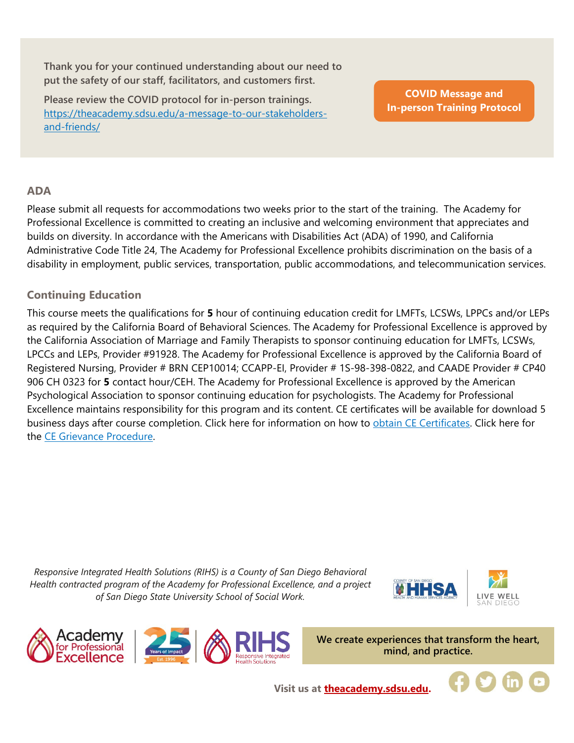**Thank you for your continued understanding about our need to put the safety of our staff, facilitators, and customers first.**

**Please review the COVID protocol for in-person trainings.**  [https://theacademy.sdsu.edu/a-message-to-our-stakeholders](https://theacademy.sdsu.edu/a-message-to-our-stakeholders-and-friends/)[and-friends/](https://theacademy.sdsu.edu/a-message-to-our-stakeholders-and-friends/)

**COVID Message and [In-person Training Protocol](https://theacademy.sdsu.edu/a-message-to-our-stakeholders-and-friends/)**

### **ADA**

Please submit all requests for accommodations two weeks prior to the start of the training. The Academy for Professional Excellence is committed to creating an inclusive and welcoming environment that appreciates and builds on diversity. In accordance with the Americans with Disabilities Act (ADA) of 1990, and California Administrative Code Title 24, The Academy for Professional Excellence prohibits discrimination on the basis of a disability in employment, public services, transportation, public accommodations, and telecommunication services.

### **Continuing Education**

This course meets the qualifications for **5** hour of continuing education credit for LMFTs, LCSWs, LPPCs and/or LEPs as required by the California Board of Behavioral Sciences. The Academy for Professional Excellence is approved by the California Association of Marriage and Family Therapists to sponsor continuing education for LMFTs, LCSWs, LPCCs and LEPs, Provider #91928. The Academy for Professional Excellence is approved by the California Board of Registered Nursing, Provider # BRN CEP10014; CCAPP-EI, Provider # 1S-98-398-0822, and CAADE Provider # CP40 906 CH 0323 for **5** contact hour/CEH. The Academy for Professional Excellence is approved by the American Psychological Association to sponsor continuing education for psychologists. The Academy for Professional Excellence maintains responsibility for this program and its content. CE certificates will be available for download 5 business days after course completion. Click here for information on how to [obtain CE Certificates.](https://theacademy.sdsu.edu/programs/rihs/rihs-faq/) Click here for the [CE Grievance Procedure.](https://drive.google.com/file/d/10H4zN0gLatK2hP5SJpe0HTZkZpYm8GRj/view)

*Responsive Integrated Health Solutions (RIHS) is a County of San Diego Behavioral Health contracted program of the Academy for Professional Excellence, and a project of San Diego State University School of Social Work.*







**We create experiences that transform the heart, mind, and practice.**

**Visit us at [theacademy.sdsu.edu.](https://theacademy.sdsu.edu/)**